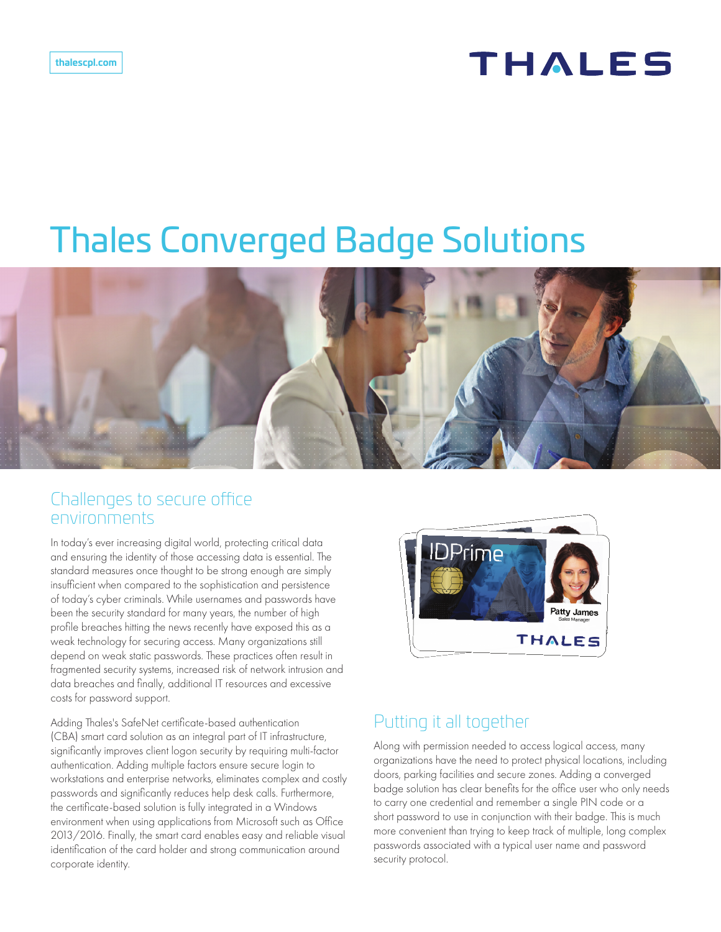# THALES

# Thales Converged Badge Solutions



#### Challenges to secure office environments

In today's ever increasing digital world, protecting critical data and ensuring the identity of those accessing data is essential. The standard measures once thought to be strong enough are simply insufficient when compared to the sophistication and persistence of today's cyber criminals. While usernames and passwords have been the security standard for many years, the number of high profile breaches hitting the news recently have exposed this as a weak technology for securing access. Many organizations still depend on weak static passwords. These practices often result in fragmented security systems, increased risk of network intrusion and data breaches and finally, additional IT resources and excessive costs for password support.

Adding Thales's SafeNet certificate-based authentication (CBA) smart card solution as an integral part of IT infrastructure, significantly improves client logon security by requiring multi-factor authentication. Adding multiple factors ensure secure login to workstations and enterprise networks, eliminates complex and costly passwords and significantly reduces help desk calls. Furthermore, the certificate-based solution is fully integrated in a Windows environment when using applications from Microsoft such as Office 2013/2016. Finally, the smart card enables easy and reliable visual identification of the card holder and strong communication around corporate identity.



### Putting it all together

Along with permission needed to access logical access, many organizations have the need to protect physical locations, including doors, parking facilities and secure zones. Adding a converged badge solution has clear benefits for the office user who only needs to carry one credential and remember a single PIN code or a short password to use in conjunction with their badge. This is much more convenient than trying to keep track of multiple, long complex passwords associated with a typical user name and password security protocol.